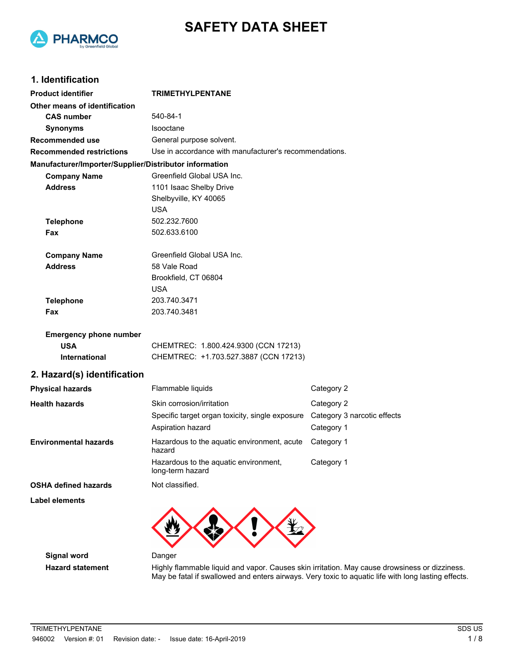



## **1. Identification**

| <b>Product identifier</b>                              | <b>TRIMETHYLPENTANE</b>                                   |                             |  |
|--------------------------------------------------------|-----------------------------------------------------------|-----------------------------|--|
| Other means of identification                          |                                                           |                             |  |
| <b>CAS number</b>                                      | 540-84-1                                                  |                             |  |
| <b>Synonyms</b>                                        | Isooctane                                                 |                             |  |
| <b>Recommended use</b>                                 | General purpose solvent.                                  |                             |  |
| <b>Recommended restrictions</b>                        | Use in accordance with manufacturer's recommendations.    |                             |  |
| Manufacturer/Importer/Supplier/Distributor information |                                                           |                             |  |
| <b>Company Name</b>                                    | Greenfield Global USA Inc.                                |                             |  |
| <b>Address</b>                                         | 1101 Isaac Shelby Drive                                   |                             |  |
|                                                        | Shelbyville, KY 40065                                     |                             |  |
|                                                        | <b>USA</b>                                                |                             |  |
| <b>Telephone</b>                                       | 502.232.7600                                              |                             |  |
| Fax                                                    | 502.633.6100                                              |                             |  |
| <b>Company Name</b>                                    | Greenfield Global USA Inc.                                |                             |  |
| <b>Address</b>                                         | 58 Vale Road                                              |                             |  |
|                                                        | Brookfield, CT 06804                                      |                             |  |
|                                                        | <b>USA</b>                                                |                             |  |
| <b>Telephone</b>                                       | 203.740.3471                                              |                             |  |
| Fax                                                    | 203.740.3481                                              |                             |  |
| <b>Emergency phone number</b>                          |                                                           |                             |  |
| <b>USA</b>                                             | CHEMTREC: 1.800.424.9300 (CCN 17213)                      |                             |  |
| International                                          | CHEMTREC: +1.703.527.3887 (CCN 17213)                     |                             |  |
| 2. Hazard(s) identification                            |                                                           |                             |  |
| <b>Physical hazards</b>                                | Flammable liquids                                         | Category 2                  |  |
| <b>Health hazards</b>                                  | Skin corrosion/irritation                                 | Category 2                  |  |
|                                                        | Specific target organ toxicity, single exposure           | Category 3 narcotic effects |  |
|                                                        | Aspiration hazard                                         | Category 1                  |  |
| <b>Environmental hazards</b>                           | Hazardous to the aquatic environment, acute<br>hazard     | Category 1                  |  |
|                                                        | Hazardous to the aquatic environment,<br>long-term hazard | Category 1                  |  |
| <b>OSHA defined hazards</b>                            | Not classified.                                           |                             |  |
| <b>Label elements</b>                                  |                                                           |                             |  |



**Signal word** Danger

Hazard statement **Highly flammable liquid and vapor. Causes skin irritation. May cause drowsiness or dizziness.** May be fatal if swallowed and enters airways. Very toxic to aquatic life with long lasting effects.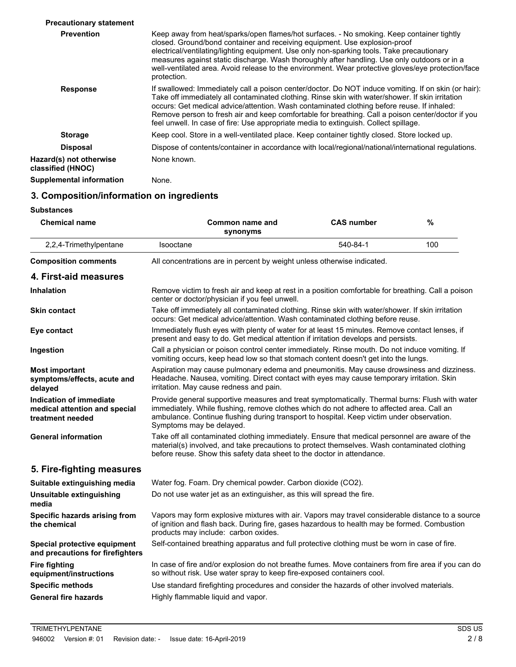| Keep away from heat/sparks/open flames/hot surfaces. - No smoking. Keep container tightly<br>closed. Ground/bond container and receiving equipment. Use explosion-proof<br>electrical/ventilating/lighting equipment. Use only non-sparking tools. Take precautionary<br>measures against static discharge. Wash thoroughly after handling. Use only outdoors or in a<br>well-ventilated area. Avoid release to the environment. Wear protective gloves/eye protection/face<br>protection.          |
|-----------------------------------------------------------------------------------------------------------------------------------------------------------------------------------------------------------------------------------------------------------------------------------------------------------------------------------------------------------------------------------------------------------------------------------------------------------------------------------------------------|
| If swallowed: Immediately call a poison center/doctor. Do NOT induce vomiting. If on skin (or hair):<br>Take off immediately all contaminated clothing. Rinse skin with water/shower. If skin irritation<br>occurs: Get medical advice/attention. Wash contaminated clothing before reuse. If inhaled:<br>Remove person to fresh air and keep comfortable for breathing. Call a poison center/doctor if you<br>feel unwell. In case of fire: Use appropriate media to extinguish. Collect spillage. |
| Keep cool. Store in a well-ventilated place. Keep container tightly closed. Store locked up.                                                                                                                                                                                                                                                                                                                                                                                                        |
| Dispose of contents/container in accordance with local/regional/national/international regulations.                                                                                                                                                                                                                                                                                                                                                                                                 |
| None known.                                                                                                                                                                                                                                                                                                                                                                                                                                                                                         |
| None.                                                                                                                                                                                                                                                                                                                                                                                                                                                                                               |
|                                                                                                                                                                                                                                                                                                                                                                                                                                                                                                     |

# **3. Composition/information on ingredients**

#### **Substances**

| <b>Chemical name</b>                                                         | Common name and<br>synonyms                                                                                                                                                                                                                                                                                          | <b>CAS number</b> | %   |
|------------------------------------------------------------------------------|----------------------------------------------------------------------------------------------------------------------------------------------------------------------------------------------------------------------------------------------------------------------------------------------------------------------|-------------------|-----|
| 2,2,4-Trimethylpentane                                                       | Isooctane                                                                                                                                                                                                                                                                                                            | 540-84-1          | 100 |
| <b>Composition comments</b>                                                  | All concentrations are in percent by weight unless otherwise indicated.                                                                                                                                                                                                                                              |                   |     |
| 4. First-aid measures                                                        |                                                                                                                                                                                                                                                                                                                      |                   |     |
| <b>Inhalation</b>                                                            | Remove victim to fresh air and keep at rest in a position comfortable for breathing. Call a poison<br>center or doctor/physician if you feel unwell.                                                                                                                                                                 |                   |     |
| <b>Skin contact</b>                                                          | Take off immediately all contaminated clothing. Rinse skin with water/shower. If skin irritation<br>occurs: Get medical advice/attention. Wash contaminated clothing before reuse.                                                                                                                                   |                   |     |
| Eye contact                                                                  | Immediately flush eyes with plenty of water for at least 15 minutes. Remove contact lenses, if<br>present and easy to do. Get medical attention if irritation develops and persists.                                                                                                                                 |                   |     |
| Ingestion                                                                    | Call a physician or poison control center immediately. Rinse mouth. Do not induce vomiting. If<br>vomiting occurs, keep head low so that stomach content doesn't get into the lungs.                                                                                                                                 |                   |     |
| <b>Most important</b><br>symptoms/effects, acute and<br>delayed              | Aspiration may cause pulmonary edema and pneumonitis. May cause drowsiness and dizziness.<br>Headache. Nausea, vomiting. Direct contact with eyes may cause temporary irritation. Skin<br>irritation. May cause redness and pain.                                                                                    |                   |     |
| Indication of immediate<br>medical attention and special<br>treatment needed | Provide general supportive measures and treat symptomatically. Thermal burns: Flush with water<br>immediately. While flushing, remove clothes which do not adhere to affected area. Call an<br>ambulance. Continue flushing during transport to hospital. Keep victim under observation.<br>Symptoms may be delayed. |                   |     |
| <b>General information</b>                                                   | Take off all contaminated clothing immediately. Ensure that medical personnel are aware of the<br>material(s) involved, and take precautions to protect themselves. Wash contaminated clothing<br>before reuse. Show this safety data sheet to the doctor in attendance.                                             |                   |     |
| 5. Fire-fighting measures                                                    |                                                                                                                                                                                                                                                                                                                      |                   |     |
| Suitable extinguishing media                                                 | Water fog. Foam. Dry chemical powder. Carbon dioxide (CO2).                                                                                                                                                                                                                                                          |                   |     |
| <b>Unsuitable extinguishing</b><br>media                                     | Do not use water jet as an extinguisher, as this will spread the fire.                                                                                                                                                                                                                                               |                   |     |
| Specific hazards arising from<br>the chemical                                | Vapors may form explosive mixtures with air. Vapors may travel considerable distance to a source<br>of ignition and flash back. During fire, gases hazardous to health may be formed. Combustion<br>products may include: carbon oxides.                                                                             |                   |     |
| Special protective equipment<br>and precautions for firefighters             | Self-contained breathing apparatus and full protective clothing must be worn in case of fire.                                                                                                                                                                                                                        |                   |     |
| <b>Fire fighting</b><br>equipment/instructions                               | In case of fire and/or explosion do not breathe fumes. Move containers from fire area if you can do<br>so without risk. Use water spray to keep fire-exposed containers cool.                                                                                                                                        |                   |     |
| <b>Specific methods</b>                                                      | Use standard firefighting procedures and consider the hazards of other involved materials.                                                                                                                                                                                                                           |                   |     |
| <b>General fire hazards</b>                                                  | Highly flammable liquid and vapor.                                                                                                                                                                                                                                                                                   |                   |     |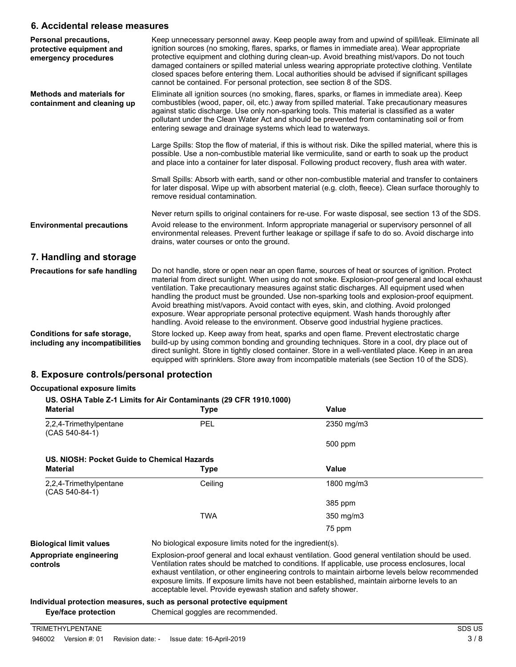## **6. Accidental release measures**

| <b>Personal precautions,</b><br>protective equipment and<br>emergency procedures | Keep unnecessary personnel away. Keep people away from and upwind of spill/leak. Eliminate all<br>ignition sources (no smoking, flares, sparks, or flames in immediate area). Wear appropriate<br>protective equipment and clothing during clean-up. Avoid breathing mist/vapors. Do not touch<br>damaged containers or spilled material unless wearing appropriate protective clothing. Ventilate<br>closed spaces before entering them. Local authorities should be advised if significant spillages<br>cannot be contained. For personal protection, see section 8 of the SDS.                                                                                                    |
|----------------------------------------------------------------------------------|--------------------------------------------------------------------------------------------------------------------------------------------------------------------------------------------------------------------------------------------------------------------------------------------------------------------------------------------------------------------------------------------------------------------------------------------------------------------------------------------------------------------------------------------------------------------------------------------------------------------------------------------------------------------------------------|
| <b>Methods and materials for</b><br>containment and cleaning up                  | Eliminate all ignition sources (no smoking, flares, sparks, or flames in immediate area). Keep<br>combustibles (wood, paper, oil, etc.) away from spilled material. Take precautionary measures<br>against static discharge. Use only non-sparking tools. This material is classified as a water<br>pollutant under the Clean Water Act and should be prevented from contaminating soil or from<br>entering sewage and drainage systems which lead to waterways.                                                                                                                                                                                                                     |
|                                                                                  | Large Spills: Stop the flow of material, if this is without risk. Dike the spilled material, where this is<br>possible. Use a non-combustible material like vermiculite, sand or earth to soak up the product<br>and place into a container for later disposal. Following product recovery, flush area with water.                                                                                                                                                                                                                                                                                                                                                                   |
|                                                                                  | Small Spills: Absorb with earth, sand or other non-combustible material and transfer to containers<br>for later disposal. Wipe up with absorbent material (e.g. cloth, fleece). Clean surface thoroughly to<br>remove residual contamination.                                                                                                                                                                                                                                                                                                                                                                                                                                        |
|                                                                                  | Never return spills to original containers for re-use. For waste disposal, see section 13 of the SDS.                                                                                                                                                                                                                                                                                                                                                                                                                                                                                                                                                                                |
| <b>Environmental precautions</b>                                                 | Avoid release to the environment. Inform appropriate managerial or supervisory personnel of all<br>environmental releases. Prevent further leakage or spillage if safe to do so. Avoid discharge into<br>drains, water courses or onto the ground.                                                                                                                                                                                                                                                                                                                                                                                                                                   |
| 7. Handling and storage                                                          |                                                                                                                                                                                                                                                                                                                                                                                                                                                                                                                                                                                                                                                                                      |
| <b>Precautions for safe handling</b>                                             | Do not handle, store or open near an open flame, sources of heat or sources of ignition. Protect<br>material from direct sunlight. When using do not smoke. Explosion-proof general and local exhaust<br>ventilation. Take precautionary measures against static discharges. All equipment used when<br>handling the product must be grounded. Use non-sparking tools and explosion-proof equipment.<br>Avoid breathing mist/vapors. Avoid contact with eyes, skin, and clothing. Avoid prolonged<br>exposure. Wear appropriate personal protective equipment. Wash hands thoroughly after<br>handling. Avoid release to the environment. Observe good industrial hygiene practices. |
| Conditions for safe storage,<br>including any incompatibilities                  | Store locked up. Keep away from heat, sparks and open flame. Prevent electrostatic charge<br>build-up by using common bonding and grounding techniques. Store in a cool, dry place out of<br>direct sunlight. Store in tightly closed container. Store in a well-ventilated place. Keep in an area<br>equipped with sprinklers. Store away from incompatible materials (see Section 10 of the SDS).                                                                                                                                                                                                                                                                                  |

## **8. Exposure controls/personal protection**

#### **Occupational exposure limits**

## **US. OSHA Table Z-1 Limits for Air Contaminants (29 CFR 1910.1000)**

| <b>Material</b>                             | Type                                                                                                                                                                                                                                                                                                                                                                                                                                                                    | <b>Value</b> |
|---------------------------------------------|-------------------------------------------------------------------------------------------------------------------------------------------------------------------------------------------------------------------------------------------------------------------------------------------------------------------------------------------------------------------------------------------------------------------------------------------------------------------------|--------------|
| 2,2,4-Trimethylpentane<br>(CAS 540-84-1)    | <b>PEL</b>                                                                                                                                                                                                                                                                                                                                                                                                                                                              | 2350 mg/m3   |
|                                             |                                                                                                                                                                                                                                                                                                                                                                                                                                                                         | 500 ppm      |
| US. NIOSH: Pocket Guide to Chemical Hazards |                                                                                                                                                                                                                                                                                                                                                                                                                                                                         |              |
| <b>Material</b>                             | Type                                                                                                                                                                                                                                                                                                                                                                                                                                                                    | Value        |
| 2,2,4-Trimethylpentane<br>$(CAS 540-84-1)$  | Ceiling                                                                                                                                                                                                                                                                                                                                                                                                                                                                 | 1800 mg/m3   |
|                                             |                                                                                                                                                                                                                                                                                                                                                                                                                                                                         | 385 ppm      |
|                                             | TWA                                                                                                                                                                                                                                                                                                                                                                                                                                                                     | 350 mg/m3    |
|                                             |                                                                                                                                                                                                                                                                                                                                                                                                                                                                         | 75 ppm       |
| <b>Biological limit values</b>              | No biological exposure limits noted for the ingredient(s).                                                                                                                                                                                                                                                                                                                                                                                                              |              |
| Appropriate engineering<br>controls         | Explosion-proof general and local exhaust ventilation. Good general ventilation should be used.<br>Ventilation rates should be matched to conditions. If applicable, use process enclosures, local<br>exhaust ventilation, or other engineering controls to maintain airborne levels below recommended<br>exposure limits. If exposure limits have not been established, maintain airborne levels to an<br>acceptable level. Provide eyewash station and safety shower. |              |

## **Individual protection measures, such as personal protective equipment**

**Eye/face protection** Chemical goggles are recommended.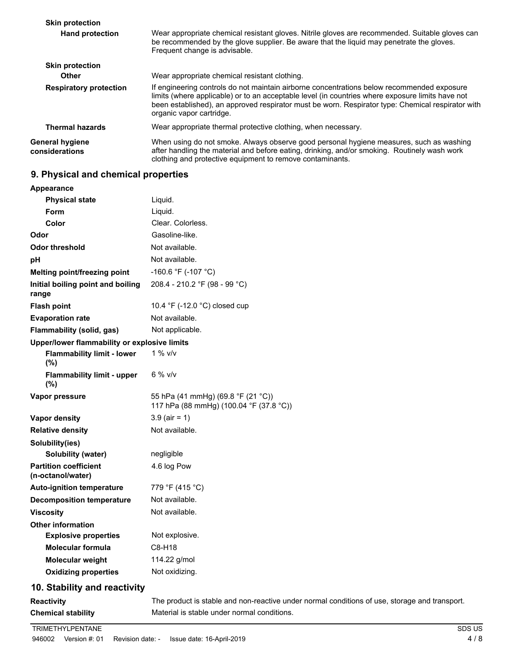| <b>Skin protection</b>                   |                                                                                                                                                                                                                                                                                                                                 |
|------------------------------------------|---------------------------------------------------------------------------------------------------------------------------------------------------------------------------------------------------------------------------------------------------------------------------------------------------------------------------------|
| <b>Hand protection</b>                   | Wear appropriate chemical resistant gloves. Nitrile gloves are recommended. Suitable gloves can<br>be recommended by the glove supplier. Be aware that the liquid may penetrate the gloves.<br>Frequent change is advisable.                                                                                                    |
| <b>Skin protection</b>                   |                                                                                                                                                                                                                                                                                                                                 |
| <b>Other</b>                             | Wear appropriate chemical resistant clothing.                                                                                                                                                                                                                                                                                   |
| <b>Respiratory protection</b>            | If engineering controls do not maintain airborne concentrations below recommended exposure<br>limits (where applicable) or to an acceptable level (in countries where exposure limits have not<br>been established), an approved respirator must be worn. Respirator type: Chemical respirator with<br>organic vapor cartridge. |
| <b>Thermal hazards</b>                   | Wear appropriate thermal protective clothing, when necessary.                                                                                                                                                                                                                                                                   |
| <b>General hygiene</b><br>considerations | When using do not smoke. Always observe good personal hygiene measures, such as washing<br>after handling the material and before eating, drinking, and/or smoking. Routinely wash work<br>clothing and protective equipment to remove contaminants.                                                                            |

# **9. Physical and chemical properties**

| Liquid.<br><b>Physical state</b><br>Form<br>Liquid.<br>Clear. Colorless.<br>Color<br>Gasoline-like.<br>Not available.<br><b>Odor threshold</b><br>Not available.<br>-160.6 °F (-107 °C)<br>Melting point/freezing point<br>208.4 - 210.2 °F (98 - 99 °C)<br>10.4 $\degree$ F (-12.0 $\degree$ C) closed cup<br>Not available.<br>Not applicable.<br>Upper/lower flammability or explosive limits<br><b>Flammability limit - lower</b><br>$1\%$ v/v<br>(%)<br>$6%$ v/v<br><b>Flammability limit - upper</b><br>(%)<br>55 hPa (41 mmHg) (69.8 °F (21 °C))<br>117 hPa (88 mmHg) (100.04 °F (37.8 °C))<br>$3.9$ (air = 1)<br>Not available.<br><b>Solubility (water)</b><br>negligible<br>4.6 log Pow<br>779 °F (415 °C)<br>Not available.<br>Not available.<br><b>Explosive properties</b><br>Not explosive.<br><b>Molecular formula</b><br>C8-H18<br><b>Molecular weight</b><br>114.22 g/mol<br>Not oxidizing.<br><b>Oxidizing properties</b><br>10. Stability and reactivity<br>The product is stable and non-reactive under normal conditions of use, storage and transport.<br>Material is stable under normal conditions.<br><b>Chemical stability</b> | <b>Appearance</b>                                 |  |
|----------------------------------------------------------------------------------------------------------------------------------------------------------------------------------------------------------------------------------------------------------------------------------------------------------------------------------------------------------------------------------------------------------------------------------------------------------------------------------------------------------------------------------------------------------------------------------------------------------------------------------------------------------------------------------------------------------------------------------------------------------------------------------------------------------------------------------------------------------------------------------------------------------------------------------------------------------------------------------------------------------------------------------------------------------------------------------------------------------------------------------------------------------|---------------------------------------------------|--|
|                                                                                                                                                                                                                                                                                                                                                                                                                                                                                                                                                                                                                                                                                                                                                                                                                                                                                                                                                                                                                                                                                                                                                          |                                                   |  |
|                                                                                                                                                                                                                                                                                                                                                                                                                                                                                                                                                                                                                                                                                                                                                                                                                                                                                                                                                                                                                                                                                                                                                          |                                                   |  |
|                                                                                                                                                                                                                                                                                                                                                                                                                                                                                                                                                                                                                                                                                                                                                                                                                                                                                                                                                                                                                                                                                                                                                          |                                                   |  |
|                                                                                                                                                                                                                                                                                                                                                                                                                                                                                                                                                                                                                                                                                                                                                                                                                                                                                                                                                                                                                                                                                                                                                          | Odor                                              |  |
|                                                                                                                                                                                                                                                                                                                                                                                                                                                                                                                                                                                                                                                                                                                                                                                                                                                                                                                                                                                                                                                                                                                                                          |                                                   |  |
|                                                                                                                                                                                                                                                                                                                                                                                                                                                                                                                                                                                                                                                                                                                                                                                                                                                                                                                                                                                                                                                                                                                                                          | рH                                                |  |
|                                                                                                                                                                                                                                                                                                                                                                                                                                                                                                                                                                                                                                                                                                                                                                                                                                                                                                                                                                                                                                                                                                                                                          |                                                   |  |
|                                                                                                                                                                                                                                                                                                                                                                                                                                                                                                                                                                                                                                                                                                                                                                                                                                                                                                                                                                                                                                                                                                                                                          | Initial boiling point and boiling<br>range        |  |
|                                                                                                                                                                                                                                                                                                                                                                                                                                                                                                                                                                                                                                                                                                                                                                                                                                                                                                                                                                                                                                                                                                                                                          | <b>Flash point</b>                                |  |
|                                                                                                                                                                                                                                                                                                                                                                                                                                                                                                                                                                                                                                                                                                                                                                                                                                                                                                                                                                                                                                                                                                                                                          | <b>Evaporation rate</b>                           |  |
|                                                                                                                                                                                                                                                                                                                                                                                                                                                                                                                                                                                                                                                                                                                                                                                                                                                                                                                                                                                                                                                                                                                                                          | Flammability (solid, gas)                         |  |
|                                                                                                                                                                                                                                                                                                                                                                                                                                                                                                                                                                                                                                                                                                                                                                                                                                                                                                                                                                                                                                                                                                                                                          |                                                   |  |
|                                                                                                                                                                                                                                                                                                                                                                                                                                                                                                                                                                                                                                                                                                                                                                                                                                                                                                                                                                                                                                                                                                                                                          |                                                   |  |
|                                                                                                                                                                                                                                                                                                                                                                                                                                                                                                                                                                                                                                                                                                                                                                                                                                                                                                                                                                                                                                                                                                                                                          |                                                   |  |
|                                                                                                                                                                                                                                                                                                                                                                                                                                                                                                                                                                                                                                                                                                                                                                                                                                                                                                                                                                                                                                                                                                                                                          | Vapor pressure                                    |  |
|                                                                                                                                                                                                                                                                                                                                                                                                                                                                                                                                                                                                                                                                                                                                                                                                                                                                                                                                                                                                                                                                                                                                                          | Vapor density                                     |  |
|                                                                                                                                                                                                                                                                                                                                                                                                                                                                                                                                                                                                                                                                                                                                                                                                                                                                                                                                                                                                                                                                                                                                                          | <b>Relative density</b>                           |  |
|                                                                                                                                                                                                                                                                                                                                                                                                                                                                                                                                                                                                                                                                                                                                                                                                                                                                                                                                                                                                                                                                                                                                                          | Solubility(ies)                                   |  |
|                                                                                                                                                                                                                                                                                                                                                                                                                                                                                                                                                                                                                                                                                                                                                                                                                                                                                                                                                                                                                                                                                                                                                          |                                                   |  |
|                                                                                                                                                                                                                                                                                                                                                                                                                                                                                                                                                                                                                                                                                                                                                                                                                                                                                                                                                                                                                                                                                                                                                          | <b>Partition coefficient</b><br>(n-octanol/water) |  |
|                                                                                                                                                                                                                                                                                                                                                                                                                                                                                                                                                                                                                                                                                                                                                                                                                                                                                                                                                                                                                                                                                                                                                          | <b>Auto-ignition temperature</b>                  |  |
|                                                                                                                                                                                                                                                                                                                                                                                                                                                                                                                                                                                                                                                                                                                                                                                                                                                                                                                                                                                                                                                                                                                                                          | <b>Decomposition temperature</b>                  |  |
|                                                                                                                                                                                                                                                                                                                                                                                                                                                                                                                                                                                                                                                                                                                                                                                                                                                                                                                                                                                                                                                                                                                                                          | <b>Viscosity</b>                                  |  |
|                                                                                                                                                                                                                                                                                                                                                                                                                                                                                                                                                                                                                                                                                                                                                                                                                                                                                                                                                                                                                                                                                                                                                          | <b>Other information</b>                          |  |
|                                                                                                                                                                                                                                                                                                                                                                                                                                                                                                                                                                                                                                                                                                                                                                                                                                                                                                                                                                                                                                                                                                                                                          |                                                   |  |
|                                                                                                                                                                                                                                                                                                                                                                                                                                                                                                                                                                                                                                                                                                                                                                                                                                                                                                                                                                                                                                                                                                                                                          |                                                   |  |
|                                                                                                                                                                                                                                                                                                                                                                                                                                                                                                                                                                                                                                                                                                                                                                                                                                                                                                                                                                                                                                                                                                                                                          |                                                   |  |
|                                                                                                                                                                                                                                                                                                                                                                                                                                                                                                                                                                                                                                                                                                                                                                                                                                                                                                                                                                                                                                                                                                                                                          |                                                   |  |
|                                                                                                                                                                                                                                                                                                                                                                                                                                                                                                                                                                                                                                                                                                                                                                                                                                                                                                                                                                                                                                                                                                                                                          |                                                   |  |
|                                                                                                                                                                                                                                                                                                                                                                                                                                                                                                                                                                                                                                                                                                                                                                                                                                                                                                                                                                                                                                                                                                                                                          | <b>Reactivity</b>                                 |  |
|                                                                                                                                                                                                                                                                                                                                                                                                                                                                                                                                                                                                                                                                                                                                                                                                                                                                                                                                                                                                                                                                                                                                                          |                                                   |  |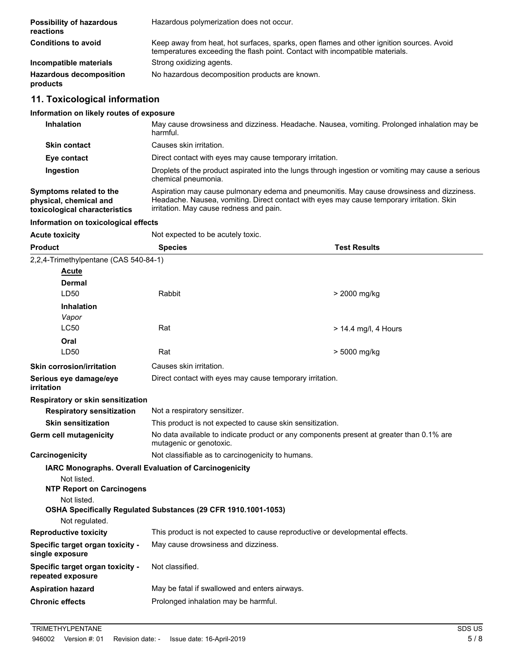| <b>Possibility of hazardous</b><br>reactions | Hazardous polymerization does not occur.                                                                                                                                 |
|----------------------------------------------|--------------------------------------------------------------------------------------------------------------------------------------------------------------------------|
| <b>Conditions to avoid</b>                   | Keep away from heat, hot surfaces, sparks, open flames and other ignition sources. Avoid<br>temperatures exceeding the flash point. Contact with incompatible materials. |
| Incompatible materials                       | Strong oxidizing agents.                                                                                                                                                 |
| <b>Hazardous decomposition</b><br>products   | No hazardous decomposition products are known.                                                                                                                           |

# **11. Toxicological information**

## **Information on likely routes of exposure**

| <b>Inhalation</b>                                                                  | May cause drowsiness and dizziness. Headache. Nausea, vomiting. Prolonged inhalation may be<br>harmful.                                                                                                                           |
|------------------------------------------------------------------------------------|-----------------------------------------------------------------------------------------------------------------------------------------------------------------------------------------------------------------------------------|
| <b>Skin contact</b>                                                                | Causes skin irritation.                                                                                                                                                                                                           |
| Eye contact                                                                        | Direct contact with eyes may cause temporary irritation.                                                                                                                                                                          |
| Ingestion                                                                          | Droplets of the product aspirated into the lungs through ingestion or vomiting may cause a serious<br>chemical pneumonia.                                                                                                         |
| Symptoms related to the<br>physical, chemical and<br>toxicological characteristics | Aspiration may cause pulmonary edema and pneumonitis. May cause drowsiness and dizziness.<br>Headache. Nausea, vomiting. Direct contact with eyes may cause temporary irritation. Skin<br>irritation. May cause redness and pain. |

## **Information on toxicological effects**

| <b>Acute toxicity</b>                                 | Not expected to be acutely toxic.                                                                                   |                                                                              |  |  |
|-------------------------------------------------------|---------------------------------------------------------------------------------------------------------------------|------------------------------------------------------------------------------|--|--|
| <b>Product</b>                                        | <b>Species</b>                                                                                                      | <b>Test Results</b>                                                          |  |  |
| 2,2,4-Trimethylpentane (CAS 540-84-1)                 |                                                                                                                     |                                                                              |  |  |
| <b>Acute</b>                                          |                                                                                                                     |                                                                              |  |  |
| Dermal                                                |                                                                                                                     |                                                                              |  |  |
| LD50                                                  | Rabbit                                                                                                              | > 2000 mg/kg                                                                 |  |  |
| <b>Inhalation</b>                                     |                                                                                                                     |                                                                              |  |  |
| Vapor                                                 |                                                                                                                     |                                                                              |  |  |
| <b>LC50</b>                                           | Rat                                                                                                                 | $> 14.4$ mg/l, 4 Hours                                                       |  |  |
| Oral                                                  |                                                                                                                     |                                                                              |  |  |
| LD <sub>50</sub>                                      | Rat                                                                                                                 | > 5000 mg/kg                                                                 |  |  |
| <b>Skin corrosion/irritation</b>                      | Causes skin irritation.                                                                                             |                                                                              |  |  |
| Serious eye damage/eye<br>irritation                  | Direct contact with eyes may cause temporary irritation.                                                            |                                                                              |  |  |
| Respiratory or skin sensitization                     |                                                                                                                     |                                                                              |  |  |
| <b>Respiratory sensitization</b>                      | Not a respiratory sensitizer.                                                                                       |                                                                              |  |  |
| <b>Skin sensitization</b>                             |                                                                                                                     | This product is not expected to cause skin sensitization.                    |  |  |
| Germ cell mutagenicity                                | No data available to indicate product or any components present at greater than 0.1% are<br>mutagenic or genotoxic. |                                                                              |  |  |
| Carcinogenicity                                       | Not classifiable as to carcinogenicity to humans.                                                                   |                                                                              |  |  |
|                                                       | IARC Monographs. Overall Evaluation of Carcinogenicity                                                              |                                                                              |  |  |
| Not listed.                                           |                                                                                                                     |                                                                              |  |  |
| <b>NTP Report on Carcinogens</b>                      |                                                                                                                     |                                                                              |  |  |
| Not listed.                                           | OSHA Specifically Regulated Substances (29 CFR 1910.1001-1053)                                                      |                                                                              |  |  |
| Not regulated.                                        |                                                                                                                     |                                                                              |  |  |
| <b>Reproductive toxicity</b>                          |                                                                                                                     | This product is not expected to cause reproductive or developmental effects. |  |  |
| Specific target organ toxicity -<br>single exposure   | May cause drowsiness and dizziness.                                                                                 |                                                                              |  |  |
| Specific target organ toxicity -<br>repeated exposure | Not classified.                                                                                                     |                                                                              |  |  |
| <b>Aspiration hazard</b>                              | May be fatal if swallowed and enters airways.                                                                       |                                                                              |  |  |
| <b>Chronic effects</b>                                | Prolonged inhalation may be harmful.                                                                                |                                                                              |  |  |
|                                                       |                                                                                                                     |                                                                              |  |  |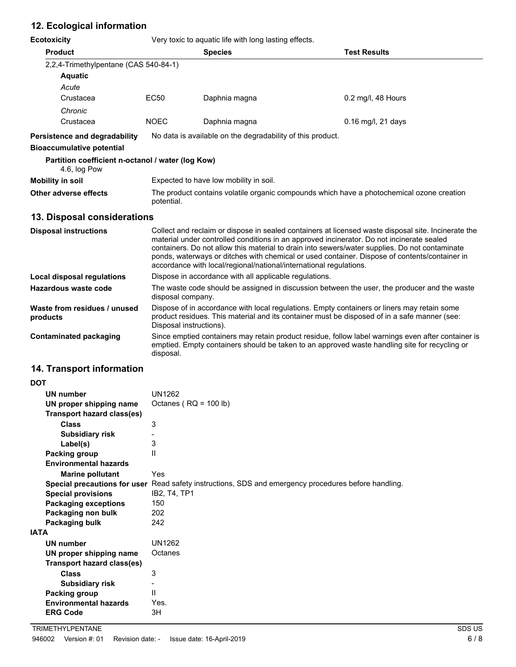# **12. Ecological information**

| <b>Ecotoxicity</b>                                                | Very toxic to aquatic life with long lasting effects.                                                                                                                                                                                                                                                                                                                                                                                                                     |                                                                                                                                                                                                     |                     |  |
|-------------------------------------------------------------------|---------------------------------------------------------------------------------------------------------------------------------------------------------------------------------------------------------------------------------------------------------------------------------------------------------------------------------------------------------------------------------------------------------------------------------------------------------------------------|-----------------------------------------------------------------------------------------------------------------------------------------------------------------------------------------------------|---------------------|--|
| <b>Product</b>                                                    |                                                                                                                                                                                                                                                                                                                                                                                                                                                                           | <b>Species</b>                                                                                                                                                                                      | <b>Test Results</b> |  |
| 2,2,4-Trimethylpentane (CAS 540-84-1)                             |                                                                                                                                                                                                                                                                                                                                                                                                                                                                           |                                                                                                                                                                                                     |                     |  |
| <b>Aquatic</b>                                                    |                                                                                                                                                                                                                                                                                                                                                                                                                                                                           |                                                                                                                                                                                                     |                     |  |
| Acute                                                             |                                                                                                                                                                                                                                                                                                                                                                                                                                                                           |                                                                                                                                                                                                     |                     |  |
| Crustacea                                                         | <b>EC50</b>                                                                                                                                                                                                                                                                                                                                                                                                                                                               | Daphnia magna                                                                                                                                                                                       | 0.2 mg/l, 48 Hours  |  |
| Chronic                                                           |                                                                                                                                                                                                                                                                                                                                                                                                                                                                           |                                                                                                                                                                                                     |                     |  |
| Crustacea                                                         | <b>NOEC</b>                                                                                                                                                                                                                                                                                                                                                                                                                                                               | Daphnia magna                                                                                                                                                                                       | 0.16 mg/l, 21 days  |  |
| Persistence and degradability                                     |                                                                                                                                                                                                                                                                                                                                                                                                                                                                           | No data is available on the degradability of this product.                                                                                                                                          |                     |  |
| <b>Bioaccumulative potential</b>                                  |                                                                                                                                                                                                                                                                                                                                                                                                                                                                           |                                                                                                                                                                                                     |                     |  |
| Partition coefficient n-octanol / water (log Kow)<br>4.6, log Pow |                                                                                                                                                                                                                                                                                                                                                                                                                                                                           |                                                                                                                                                                                                     |                     |  |
| <b>Mobility in soil</b>                                           |                                                                                                                                                                                                                                                                                                                                                                                                                                                                           | Expected to have low mobility in soil.                                                                                                                                                              |                     |  |
| Other adverse effects                                             | The product contains volatile organic compounds which have a photochemical ozone creation<br>potential.                                                                                                                                                                                                                                                                                                                                                                   |                                                                                                                                                                                                     |                     |  |
| 13. Disposal considerations                                       |                                                                                                                                                                                                                                                                                                                                                                                                                                                                           |                                                                                                                                                                                                     |                     |  |
| <b>Disposal instructions</b>                                      | Collect and reclaim or dispose in sealed containers at licensed waste disposal site. Incinerate the<br>material under controlled conditions in an approved incinerator. Do not incinerate sealed<br>containers. Do not allow this material to drain into sewers/water supplies. Do not contaminate<br>ponds, waterways or ditches with chemical or used container. Dispose of contents/container in<br>accordance with local/regional/national/international regulations. |                                                                                                                                                                                                     |                     |  |
| <b>Local disposal regulations</b>                                 | Dispose in accordance with all applicable regulations.                                                                                                                                                                                                                                                                                                                                                                                                                    |                                                                                                                                                                                                     |                     |  |
| <b>Hazardous waste code</b>                                       | The waste code should be assigned in discussion between the user, the producer and the waste<br>disposal company.                                                                                                                                                                                                                                                                                                                                                         |                                                                                                                                                                                                     |                     |  |
| Waste from residues / unused<br>products                          | Dispose of in accordance with local regulations. Empty containers or liners may retain some<br>product residues. This material and its container must be disposed of in a safe manner (see:<br>Disposal instructions).                                                                                                                                                                                                                                                    |                                                                                                                                                                                                     |                     |  |
| <b>Contaminated packaging</b>                                     | disposal.                                                                                                                                                                                                                                                                                                                                                                                                                                                                 | Since emptied containers may retain product residue, follow label warnings even after container is<br>emptied. Empty containers should be taken to an approved waste handling site for recycling or |                     |  |
|                                                                   |                                                                                                                                                                                                                                                                                                                                                                                                                                                                           |                                                                                                                                                                                                     |                     |  |

## **14. Transport information**

| DOT                               |                                                                                                      |
|-----------------------------------|------------------------------------------------------------------------------------------------------|
| <b>UN number</b>                  | <b>UN1262</b>                                                                                        |
| UN proper shipping name           | Octanes ( $RQ = 100 lb$ )                                                                            |
| <b>Transport hazard class(es)</b> |                                                                                                      |
| Class                             | 3                                                                                                    |
| <b>Subsidiary risk</b>            |                                                                                                      |
| Label(s)                          | 3                                                                                                    |
| Packing group                     | $\mathsf{II}$                                                                                        |
| <b>Environmental hazards</b>      |                                                                                                      |
| <b>Marine pollutant</b>           | Yes                                                                                                  |
|                                   | Special precautions for user Read safety instructions, SDS and emergency procedures before handling. |
| <b>Special provisions</b>         | IB2, T4, TP1                                                                                         |
| <b>Packaging exceptions</b>       | 150                                                                                                  |
| Packaging non bulk                | 202                                                                                                  |
| Packaging bulk                    | 242                                                                                                  |
| IATA                              |                                                                                                      |
| <b>UN number</b>                  | <b>UN1262</b>                                                                                        |
| UN proper shipping name           | Octanes                                                                                              |
| Transport hazard class(es)        |                                                                                                      |
| <b>Class</b>                      | 3                                                                                                    |
| <b>Subsidiary risk</b>            |                                                                                                      |
| Packing group                     | Ш                                                                                                    |
| <b>Environmental hazards</b>      | Yes.                                                                                                 |
| <b>ERG Code</b>                   | 3H                                                                                                   |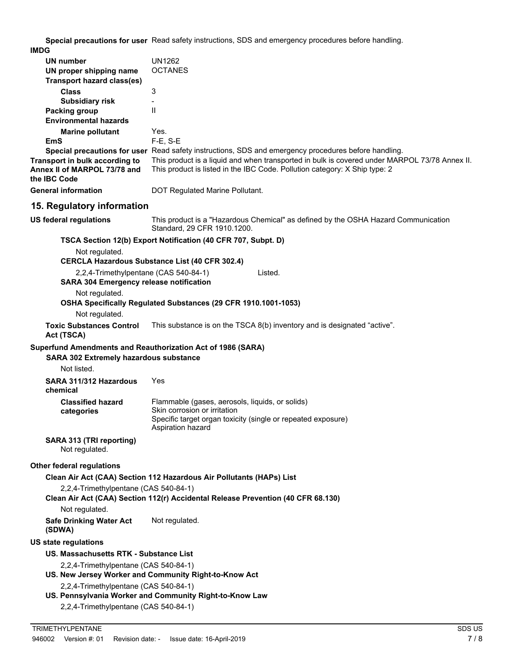**Special precautions for user** Read safety instructions, SDS and emergency procedures before handling. **IMDG**

| UN number<br>UN proper shipping name                                                    | UN1262<br><b>OCTANES</b>                                                                                                                                                    |
|-----------------------------------------------------------------------------------------|-----------------------------------------------------------------------------------------------------------------------------------------------------------------------------|
| Transport hazard class(es)                                                              |                                                                                                                                                                             |
| <b>Class</b><br><b>Subsidiary risk</b>                                                  | 3                                                                                                                                                                           |
| <b>Packing group</b>                                                                    | $\mathsf{I}$                                                                                                                                                                |
| <b>Environmental hazards</b>                                                            |                                                                                                                                                                             |
| <b>Marine pollutant</b>                                                                 | Yes.                                                                                                                                                                        |
| EmS                                                                                     | F-E, S-E                                                                                                                                                                    |
|                                                                                         | Special precautions for user Read safety instructions, SDS and emergency procedures before handling.                                                                        |
| Transport in bulk according to<br>Annex II of MARPOL 73/78 and<br>the <b>IBC</b> Code   | This product is a liquid and when transported in bulk is covered under MARPOL 73/78 Annex II.<br>This product is listed in the IBC Code. Pollution category: X Ship type: 2 |
| <b>General information</b>                                                              | DOT Regulated Marine Pollutant.                                                                                                                                             |
| 15. Regulatory information                                                              |                                                                                                                                                                             |
| <b>US federal regulations</b>                                                           | This product is a "Hazardous Chemical" as defined by the OSHA Hazard Communication<br>Standard, 29 CFR 1910.1200.                                                           |
|                                                                                         | TSCA Section 12(b) Export Notification (40 CFR 707, Subpt. D)                                                                                                               |
| Not regulated.                                                                          |                                                                                                                                                                             |
|                                                                                         | <b>CERCLA Hazardous Substance List (40 CFR 302.4)</b>                                                                                                                       |
| 2,2,4-Trimethylpentane (CAS 540-84-1)<br><b>SARA 304 Emergency release notification</b> | Listed.                                                                                                                                                                     |
| Not regulated.                                                                          |                                                                                                                                                                             |
| Not regulated.                                                                          | OSHA Specifically Regulated Substances (29 CFR 1910.1001-1053)                                                                                                              |
| <b>Toxic Substances Control</b><br>Act (TSCA)                                           | This substance is on the TSCA 8(b) inventory and is designated "active".                                                                                                    |
| Superfund Amendments and Reauthorization Act of 1986 (SARA)                             |                                                                                                                                                                             |
| SARA 302 Extremely hazardous substance                                                  |                                                                                                                                                                             |
| Not listed.                                                                             |                                                                                                                                                                             |
|                                                                                         |                                                                                                                                                                             |
| SARA 311/312 Hazardous<br>chemical                                                      | Yes                                                                                                                                                                         |
| <b>Classified hazard</b>                                                                | Flammable (gases, aerosols, liquids, or solids)                                                                                                                             |
| categories                                                                              | Skin corrosion or irritation<br>Specific target organ toxicity (single or repeated exposure)                                                                                |
|                                                                                         | Aspiration hazard                                                                                                                                                           |
| SARA 313 (TRI reporting)<br>Not regulated.                                              |                                                                                                                                                                             |
| <b>Other federal regulations</b>                                                        |                                                                                                                                                                             |
|                                                                                         | Clean Air Act (CAA) Section 112 Hazardous Air Pollutants (HAPs) List                                                                                                        |
| 2,2,4-Trimethylpentane (CAS 540-84-1)                                                   |                                                                                                                                                                             |
|                                                                                         | Clean Air Act (CAA) Section 112(r) Accidental Release Prevention (40 CFR 68.130)                                                                                            |
| Not regulated.                                                                          |                                                                                                                                                                             |
|                                                                                         |                                                                                                                                                                             |
| <b>Safe Drinking Water Act</b><br>(SDWA)                                                | Not regulated.                                                                                                                                                              |
| <b>US state regulations</b>                                                             |                                                                                                                                                                             |
| US. Massachusetts RTK - Substance List                                                  |                                                                                                                                                                             |
| 2,2,4-Trimethylpentane (CAS 540-84-1)                                                   | US. New Jersey Worker and Community Right-to-Know Act                                                                                                                       |
| 2,2,4-Trimethylpentane (CAS 540-84-1)                                                   |                                                                                                                                                                             |
| 2,2,4-Trimethylpentane (CAS 540-84-1)                                                   | US. Pennsylvania Worker and Community Right-to-Know Law                                                                                                                     |